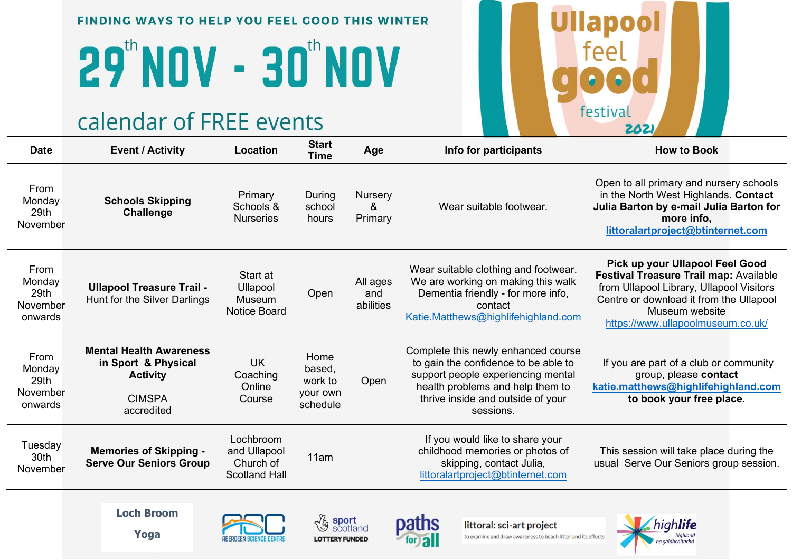# **29 NOV - 30 NOV**

#### calendar of FREE events

| <b>Date</b>                                   | <b>Event / Activity</b>                                                                                 | Location                                                       | <b>Start</b><br><b>Time</b>                       | Age                          | Info for participants                                                                                                                                                                                   | <b>How to Book</b>                                                                                                                                                                                                      |
|-----------------------------------------------|---------------------------------------------------------------------------------------------------------|----------------------------------------------------------------|---------------------------------------------------|------------------------------|---------------------------------------------------------------------------------------------------------------------------------------------------------------------------------------------------------|-------------------------------------------------------------------------------------------------------------------------------------------------------------------------------------------------------------------------|
| From<br>Monday<br>29th<br>November            | <b>Schools Skipping</b><br><b>Challenge</b>                                                             | Primary<br>Schools &<br><b>Nurseries</b>                       | During<br>school<br>hours                         | Nursery<br>&<br>Primary      | Wear suitable footwear.                                                                                                                                                                                 | Open to all primary and nursery schools<br>in the North West Highlands. Contact<br>Julia Barton by e-mail Julia Barton for<br>more info,<br>littoralartproject@btinternet.com                                           |
| From<br>Monday<br>29th<br>November<br>onwards | <b>Ullapool Treasure Trail -</b><br>Hunt for the Silver Darlings                                        | Start at<br>Ullapool<br>Museum<br><b>Notice Board</b>          | Open                                              | All ages<br>and<br>abilities | Wear suitable clothing and footwear.<br>We are working on making this walk<br>Dementia friendly - for more info,<br>contact<br>Katie.Matthews@highlifehighland.com                                      | Pick up your Ullapool Feel Good<br>Festival Treasure Trail map: Available<br>from Ullapool Library, Ullapool Visitors<br>Centre or download it from the Ullapool<br>Museum website<br>https://www.ullapoolmuseum.co.uk/ |
| From<br>Monday<br>29th<br>November<br>onwards | <b>Mental Health Awareness</b><br>in Sport & Physical<br><b>Activity</b><br><b>CIMSPA</b><br>accredited | <b>UK</b><br>Coaching<br>Online<br>Course                      | Home<br>based,<br>work to<br>your own<br>schedule | Open                         | Complete this newly enhanced course<br>to gain the confidence to be able to<br>support people experiencing mental<br>health problems and help them to<br>thrive inside and outside of your<br>sessions. | If you are part of a club or community<br>group, please contact<br>katie.matthews@highlifehighland.com<br>to book your free place.                                                                                      |
| Tuesday<br>30th<br>November                   | <b>Memories of Skipping -</b><br><b>Serve Our Seniors Group</b>                                         | Lochbroom<br>and Ullapool<br>Church of<br><b>Scotland Hall</b> | 11am                                              |                              | If you would like to share your<br>childhood memories or photos of<br>skipping, contact Julia,<br>littoralartproject@btinternet.com                                                                     | This session will take place during the<br>usual Serve Our Seniors group session.                                                                                                                                       |
|                                               | <b>Loch Broom</b>                                                                                       |                                                                |                                                   |                              |                                                                                                                                                                                                         |                                                                                                                                                                                                                         |

Yoga







littoral: sci-art project to examine and draw awareness to beach litter and its effects



**Ullapool** 

feel

festival

202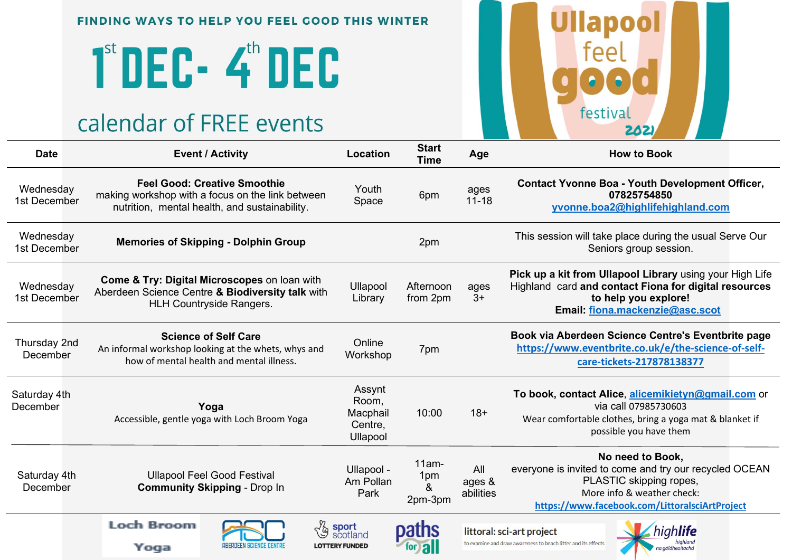## 1<sup>st</sup> DEC - 4<sup>th</sup> DEC

## calendar of FREE events



| <b>Date</b>               |                                                                                                                                                | <b>Event / Activity</b>                                                                                                                  | Location                                             | νιαι ι<br><b>Time</b>           | Age                        | <b>How to Book</b>                                                                                                                                                                    |
|---------------------------|------------------------------------------------------------------------------------------------------------------------------------------------|------------------------------------------------------------------------------------------------------------------------------------------|------------------------------------------------------|---------------------------------|----------------------------|---------------------------------------------------------------------------------------------------------------------------------------------------------------------------------------|
| Wednesday<br>1st December |                                                                                                                                                | <b>Feel Good: Creative Smoothie</b><br>making workshop with a focus on the link between<br>nutrition, mental health, and sustainability. | Youth<br>Space                                       | 6pm                             | ages<br>$11 - 18$          | <b>Contact Yvonne Boa - Youth Development Officer,</b><br>07825754850<br>yvonne.boa2@highlifehighland.com                                                                             |
| Wednesday<br>1st December | <b>Memories of Skipping - Dolphin Group</b>                                                                                                    |                                                                                                                                          |                                                      | 2pm                             |                            | This session will take place during the usual Serve Our<br>Seniors group session.                                                                                                     |
| Wednesday<br>1st December | <b>Come &amp; Try: Digital Microscopes on loan with</b><br>Aberdeen Science Centre & Biodiversity talk with<br><b>HLH Countryside Rangers.</b> |                                                                                                                                          | Ullapool<br>Library                                  | Afternoon<br>from 2pm           | ages<br>$3+$               | Pick up a kit from Ullapool Library using your High Life<br>Highland card and contact Fiona for digital resources<br>to help you explore!<br>Email: fiona.mackenzie@asc.scot          |
| Thursday 2nd<br>December  | <b>Science of Self Care</b><br>An informal workshop looking at the whets, whys and<br>how of mental health and mental illness.                 |                                                                                                                                          | Online<br>Workshop                                   | 7pm                             |                            | Book via Aberdeen Science Centre's Eventbrite page<br>https://www.eventbrite.co.uk/e/the-science-of-self-<br>care-tickets-217878138377                                                |
| Saturday 4th<br>December  |                                                                                                                                                | Yoga<br>Accessible, gentle yoga with Loch Broom Yoga                                                                                     | Assynt<br>Room,<br>Macphail<br>Centre,<br>Ullapool   | 10:00                           | $18+$                      | To book, contact Alice, alicemikietyn@gmail.com or<br>via call 07985730603<br>Wear comfortable clothes, bring a yoga mat & blanket if<br>possible you have them                       |
| Saturday 4th<br>December  |                                                                                                                                                | <b>Ullapool Feel Good Festival</b><br><b>Community Skipping - Drop In</b>                                                                |                                                      | $11am -$<br>1pm<br>&<br>2pm-3pm | All<br>ages &<br>abilities | No need to Book,<br>everyone is invited to come and try our recycled OCEAN<br>PLASTIC skipping ropes,<br>More info & weather check:<br>https://www.facebook.com/LittoralsciArtProject |
|                           | <b>Loch Broom</b><br>Yoga                                                                                                                      | ABERDEEN SCIENCE CENTRE                                                                                                                  | <b>La sport</b><br>scotland<br><b>LOTTERY FUNDED</b> | paths<br>for all                |                            | littoral: sci-art project<br>to examine and draw awareness to beach litter and its effects<br>na aàidhealtacha                                                                        |

 $C + 2r +$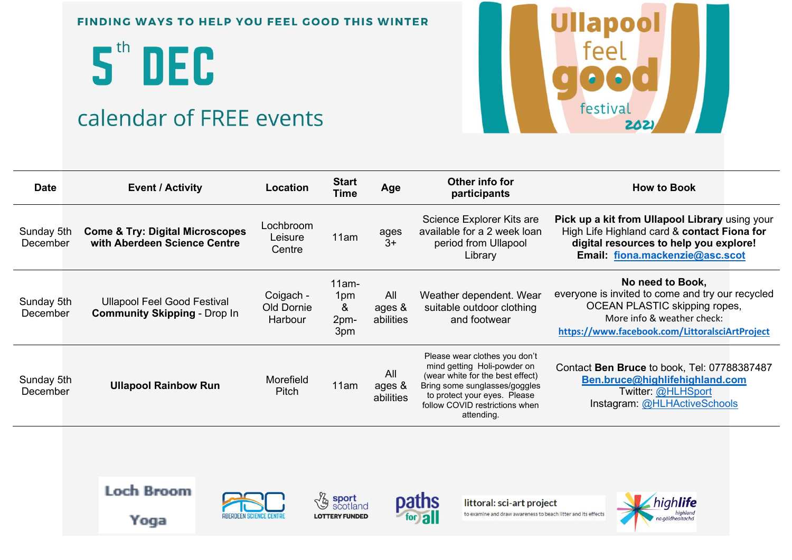5th DEC

## calendar of FREE events



| <b>Date</b>            | <b>Event / Activity</b>                                                    | Location                           | <b>Start</b><br>Time                | Age                        | Other info for<br>participants                                                                                                                                                                                    | <b>How to Book</b>                                                                                                                                                                           |
|------------------------|----------------------------------------------------------------------------|------------------------------------|-------------------------------------|----------------------------|-------------------------------------------------------------------------------------------------------------------------------------------------------------------------------------------------------------------|----------------------------------------------------------------------------------------------------------------------------------------------------------------------------------------------|
| Sunday 5th<br>December | <b>Come &amp; Try: Digital Microscopes</b><br>with Aberdeen Science Centre | Lochbroom<br>Leisure<br>Centre     | 11am                                | ages<br>$3+$               | Science Explorer Kits are<br>available for a 2 week loan<br>period from Ullapool<br>Library                                                                                                                       | Pick up a kit from Ullapool Library using your<br>High Life Highland card & contact Fiona for<br>digital resources to help you explore!<br>Email: fiona.mackenzie@asc.scot                   |
| Sunday 5th<br>December | <b>Ullapool Feel Good Festival</b><br><b>Community Skipping - Drop In</b>  | Coigach -<br>Old Dornie<br>Harbour | $11am -$<br>1pm<br>&<br>2pm-<br>3pm | All<br>ages &<br>abilities | Weather dependent. Wear<br>suitable outdoor clothing<br>and footwear                                                                                                                                              | No need to Book,<br>everyone is invited to come and try our recycled<br><b>OCEAN PLASTIC skipping ropes,</b><br>More info & weather check:<br>https://www.facebook.com/LittoralsciArtProject |
| Sunday 5th<br>December | <b>Ullapool Rainbow Run</b>                                                | Morefield<br><b>Pitch</b>          | 11am                                | All<br>ages &<br>abilities | Please wear clothes you don't<br>mind getting Holi-powder on<br>(wear white for the best effect)<br>Bring some sunglasses/goggles<br>to protect your eyes. Please<br>follow COVID restrictions when<br>attending. | Contact Ben Bruce to book, Tel: 07788387487<br>Ben.bruce@highlifehighland.com<br>Twitter: @HLHSport<br>Instagram: @HLHActiveSchools                                                          |



Yoga



**La sport**<br>scotland **LOTTERY FUNDED** 



littoral: sci-art project to examine and draw awareness to beach litter and its effects